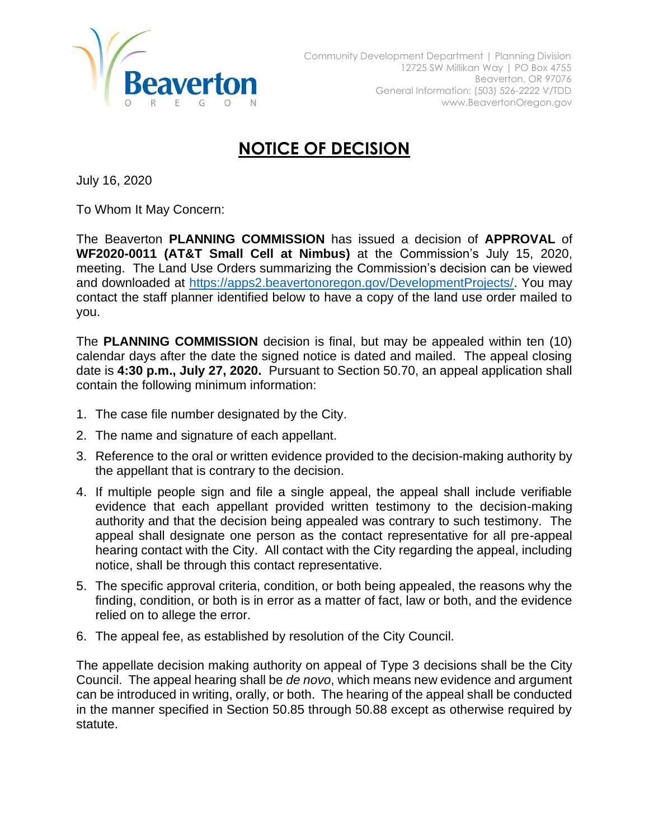

## **NOTICE OF DECISION**

July 16, 2020

To Whom It May Concern:

The Beaverton **PLANNING COMMISSION** has issued a decision of **APPROVAL** of **WF2020-0011 (AT&T Small Cell at Nimbus)** at the Commission's July 15, 2020, meeting. The Land Use Orders summarizing the Commission's decision can be viewed and downloaded at [https://apps2.beavertonoregon.gov/DevelopmentProjects/.](https://apps2.beavertonoregon.gov/DevelopmentProjects/) You may contact the staff planner identified below to have a copy of the land use order mailed to you.

The **PLANNING COMMISSION** decision is final, but may be appealed within ten (10) calendar days after the date the signed notice is dated and mailed. The appeal closing date is **4:30 p.m., July 27, 2020.** Pursuant to Section 50.70, an appeal application shall contain the following minimum information:

- 1. The case file number designated by the City.
- 2. The name and signature of each appellant.
- 3. Reference to the oral or written evidence provided to the decision-making authority by the appellant that is contrary to the decision.
- 4. If multiple people sign and file a single appeal, the appeal shall include verifiable evidence that each appellant provided written testimony to the decision-making authority and that the decision being appealed was contrary to such testimony. The appeal shall designate one person as the contact representative for all pre-appeal hearing contact with the City. All contact with the City regarding the appeal, including notice, shall be through this contact representative.
- 5. The specific approval criteria, condition, or both being appealed, the reasons why the finding, condition, or both is in error as a matter of fact, law or both, and the evidence relied on to allege the error.
- 6. The appeal fee, as established by resolution of the City Council.

The appellate decision making authority on appeal of Type 3 decisions shall be the City Council. The appeal hearing shall be *de novo*, which means new evidence and argument can be introduced in writing, orally, or both. The hearing of the appeal shall be conducted in the manner specified in Section 50.85 through 50.88 except as otherwise required by statute.